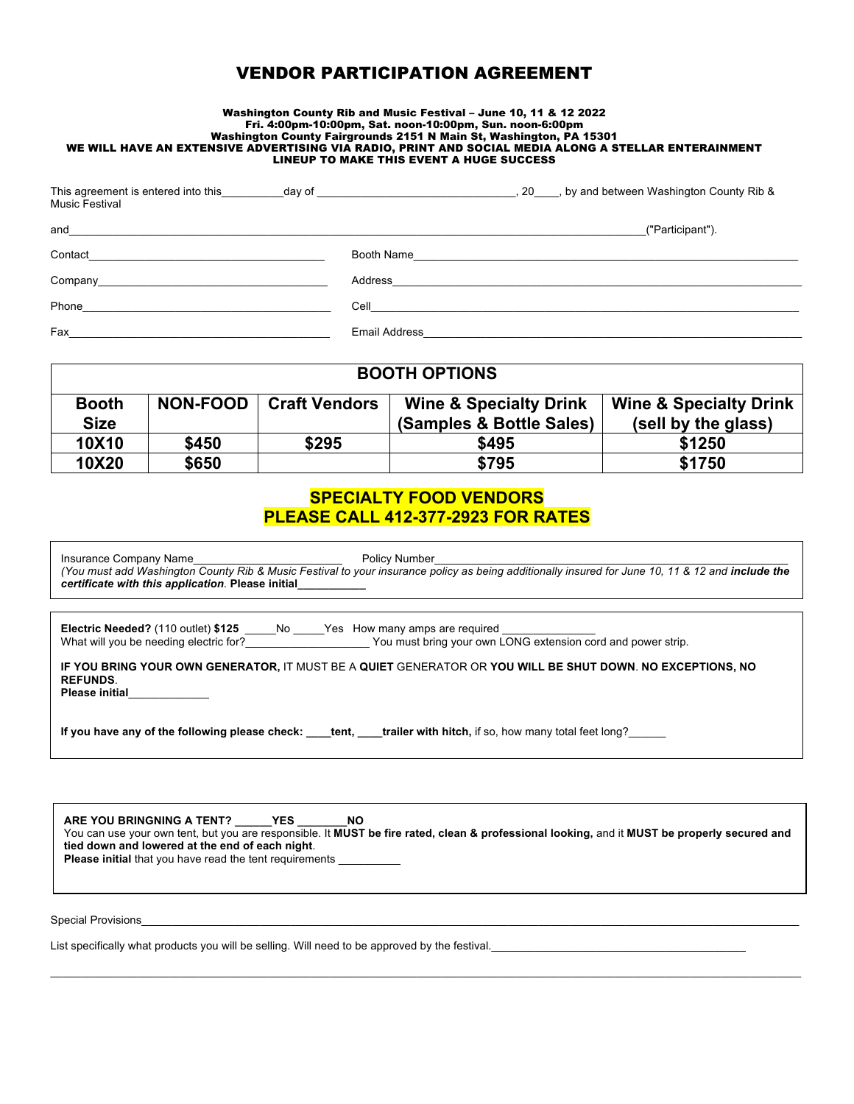# VENDOR PARTICIPATION AGREEMENT

## Washington County Rib and Music Festival – June 10, 11 & 12 2022 Fri. 4:00pm-10:00pm, Sat. noon-10:00pm, Sun. noon-6:00pm Washington County Fairgrounds 2151 N Main St, Washington, PA 15301 WE WILL HAVE AN EXTENSIVE ADVERTISING VIA RADIO, PRINT AND SOCIAL MEDIA ALONG A STELLAR ENTERAINMENT LINEUP TO MAKE THIS EVENT A HUGE SUCCESS

| This agreement is entered into this<br>day of<br><b>Music Festival</b> | 20, by and between Washington County Rib &                                                                                        |
|------------------------------------------------------------------------|-----------------------------------------------------------------------------------------------------------------------------------|
| and                                                                    | ("Participant").                                                                                                                  |
| Contact                                                                | Booth Name                                                                                                                        |
| Company                                                                | Address<br><u> La componenta de la componenta de la componenta de la componenta de la componenta de la componenta de la compo</u> |
| Phone                                                                  | Cell                                                                                                                              |
| Fax                                                                    | <b>Email Address</b>                                                                                                              |

| <b>BOOTH OPTIONS</b> |                 |                      |                                   |                                   |
|----------------------|-----------------|----------------------|-----------------------------------|-----------------------------------|
| <b>Booth</b>         | <b>NON-FOOD</b> | <b>Craft Vendors</b> | <b>Wine &amp; Specialty Drink</b> | <b>Wine &amp; Specialty Drink</b> |
| <b>Size</b>          |                 |                      | (Samples & Bottle Sales)          | (sell by the glass)               |
| 10X10                | \$450           | \$295                | \$495                             | \$1250                            |
| 10X20                | \$650           |                      | \$795                             | \$1750                            |

# **SPECIALTY FOOD VENDORS PLEASE CALL 412-377-2923 FOR RATES**

| certificate with this application. Please initial                                                                                                                                                                                                                        |  |  |
|--------------------------------------------------------------------------------------------------------------------------------------------------------------------------------------------------------------------------------------------------------------------------|--|--|
| Electric Needed? (110 outlet) \$125 _____No _____Yes How many amps are required __________<br>What will you be needing electric for?<br>You must bring your own LONG extension cord and power strip.                                                                     |  |  |
| IF YOU BRING YOUR OWN GENERATOR, IT MUST BE A QUIET GENERATOR OR YOU WILL BE SHUT DOWN. NO EXCEPTIONS, NO<br><b>REFUNDS.</b><br>Please initial_____________<br>If you have any of the following please check: tent, trailer with hitch, if so, how many total feet long? |  |  |
| ARE YOU BRINGNING A TENT? YES NO<br>You can use your own tent, but you are responsible. It MUST be fire rated, clean & professional looking, and it MUST be properly secured and<br>tied down and lowered at the end of each night.                                      |  |  |
| <b>Please initial</b> that you have read the tent requirements                                                                                                                                                                                                           |  |  |

 $\mathcal{L}_\mathcal{L} = \mathcal{L}_\mathcal{L} = \mathcal{L}_\mathcal{L} = \mathcal{L}_\mathcal{L} = \mathcal{L}_\mathcal{L} = \mathcal{L}_\mathcal{L} = \mathcal{L}_\mathcal{L} = \mathcal{L}_\mathcal{L} = \mathcal{L}_\mathcal{L} = \mathcal{L}_\mathcal{L} = \mathcal{L}_\mathcal{L} = \mathcal{L}_\mathcal{L} = \mathcal{L}_\mathcal{L} = \mathcal{L}_\mathcal{L} = \mathcal{L}_\mathcal{L} = \mathcal{L}_\mathcal{L} = \mathcal{L}_\mathcal{L}$ 

Special Provisions

List specifically what products you will be selling. Will need to be approved by the festival.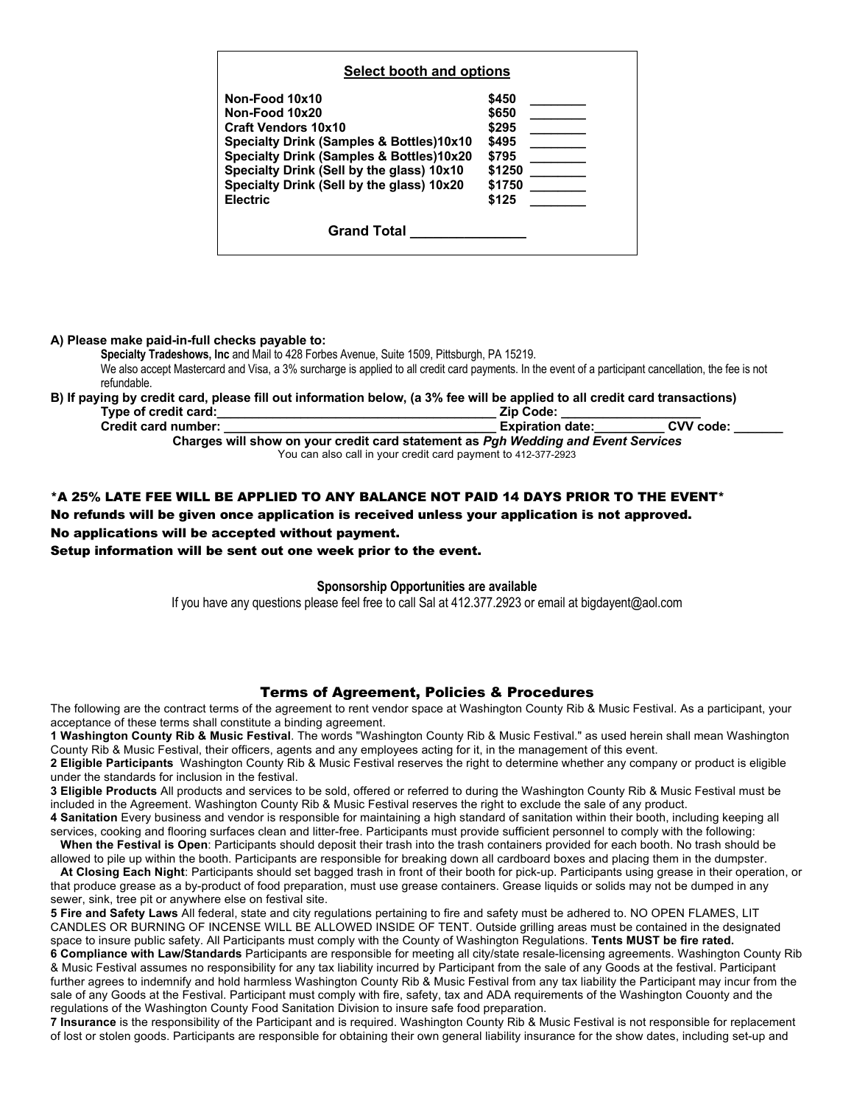| Non-Food 10x10<br>\$450<br>\$650<br>\$295<br>\$495<br>\$795<br>\$1250                                                                                                      |
|----------------------------------------------------------------------------------------------------------------------------------------------------------------------------|
| Non-Food 10x20                                                                                                                                                             |
| <b>Craft Vendors 10x10</b><br>Specialty Drink (Samples & Bottles)10x10<br><b>Specialty Drink (Samples &amp; Bottles)10x20</b><br>Specialty Drink (Sell by the glass) 10x10 |
|                                                                                                                                                                            |
|                                                                                                                                                                            |
|                                                                                                                                                                            |
|                                                                                                                                                                            |
| Specialty Drink (Sell by the glass) 10x20<br>\$1750                                                                                                                        |
| <b>Electric</b><br>\$125                                                                                                                                                   |

**A) Please make paid-in-full checks payable to:**

**Specialty Tradeshows, Inc** and Mail to 428 Forbes Avenue, Suite 1509, Pittsburgh, PA 15219. We also accept Mastercard and Visa, a 3% surcharge is applied to all credit card payments. In the event of a participant cancellation, the fee is not refundable.

# **B) If paying by credit card, please fill out information below, (a 3% fee will be applied to all credit card transactions)**

| <b>Zip Code:</b><br>Type of credit card:                                          |  |  |  |  |  |
|-----------------------------------------------------------------------------------|--|--|--|--|--|
| CVV code:<br><b>Credit card number:</b><br><b>Expiration date:</b>                |  |  |  |  |  |
| Charges will show on your credit card statement as Pgh Wedding and Event Services |  |  |  |  |  |
| You can also call in your credit card payment to 412-377-2923                     |  |  |  |  |  |

### \*A 25% LATE FEE WILL BE APPLIED TO ANY BALANCE NOT PAID 14 DAYS PRIOR TO THE EVENT\*

No refunds will be given once application is received unless your application is not approved. No applications will be accepted without payment.

Setup information will be sent out one week prior to the event.

#### **Sponsorship Opportunities are available**

If you have any questions please feel free to call Sal at 412.377.2923 or email at bigdayent@aol.com

## Terms of Agreement, Policies & Procedures

The following are the contract terms of the agreement to rent vendor space at Washington County Rib & Music Festival. As a participant, your acceptance of these terms shall constitute a binding agreement.

**1 Washington County Rib & Music Festival**. The words "Washington County Rib & Music Festival." as used herein shall mean Washington County Rib & Music Festival, their officers, agents and any employees acting for it, in the management of this event.

**2 Eligible Participants** Washington County Rib & Music Festival reserves the right to determine whether any company or product is eligible under the standards for inclusion in the festival.

**3 Eligible Products** All products and services to be sold, offered or referred to during the Washington County Rib & Music Festival must be included in the Agreement. Washington County Rib & Music Festival reserves the right to exclude the sale of any product.

**4 Sanitation** Every business and vendor is responsible for maintaining a high standard of sanitation within their booth, including keeping all services, cooking and flooring surfaces clean and litter-free. Participants must provide sufficient personnel to comply with the following:

 **When the Festival is Open**: Participants should deposit their trash into the trash containers provided for each booth. No trash should be allowed to pile up within the booth. Participants are responsible for breaking down all cardboard boxes and placing them in the dumpster.

 **At Closing Each Night**: Participants should set bagged trash in front of their booth for pick-up. Participants using grease in their operation, or that produce grease as a by-product of food preparation, must use grease containers. Grease liquids or solids may not be dumped in any sewer, sink, tree pit or anywhere else on festival site.

**5 Fire and Safety Laws** All federal, state and city regulations pertaining to fire and safety must be adhered to. NO OPEN FLAMES, LIT CANDLES OR BURNING OF INCENSE WILL BE ALLOWED INSIDE OF TENT. Outside grilling areas must be contained in the designated space to insure public safety. All Participants must comply with the County of Washington Regulations. **Tents MUST be fire rated. 6 Compliance with Law/Standards** Participants are responsible for meeting all city/state resale-licensing agreements. Washington County Rib & Music Festival assumes no responsibility for any tax liability incurred by Participant from the sale of any Goods at the festival. Participant further agrees to indemnify and hold harmless Washington County Rib & Music Festival from any tax liability the Participant may incur from the sale of any Goods at the Festival. Participant must comply with fire, safety, tax and ADA requirements of the Washington Couonty and the regulations of the Washington County Food Sanitation Division to insure safe food preparation.

**7 Insurance** is the responsibility of the Participant and is required. Washington County Rib & Music Festival is not responsible for replacement of lost or stolen goods. Participants are responsible for obtaining their own general liability insurance for the show dates, including set-up and